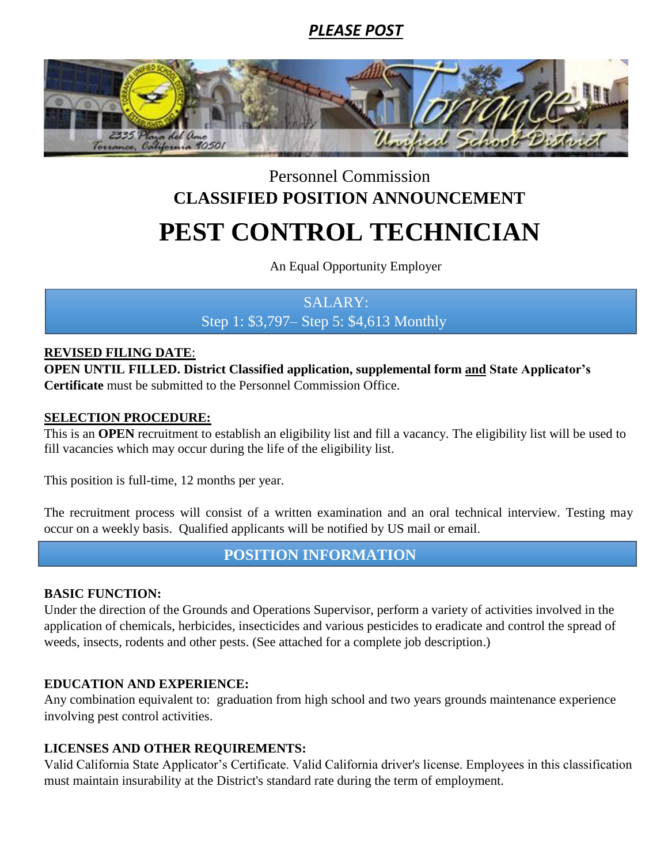## *PLEASE POST*



# PEST CONTROL TECHNICIAN Personnel Commission **CLASSIFIED POSITION ANNOUNCEMENT**

An Equal Opportunity Employer

## SALARY: Step 1: \$3,797– Step 5: \$4,613 Monthly

#### **REVISED FILING DATE**:

**OPEN UNTIL FILLED. District Classified application, supplemental form and State Applicator's Certificate** must be submitted to the Personnel Commission Office.

#### **SELECTION PROCEDURE:**

This is an **OPEN** recruitment to establish an eligibility list and fill a vacancy. The eligibility list will be used to fill vacancies which may occur during the life of the eligibility list.

This position is full-time, 12 months per year.

The recruitment process will consist of a written examination and an oral technical interview. Testing may occur on a weekly basis. Qualified applicants will be notified by US mail or email.

**POSITION INFORMATION**

### **BASIC FUNCTION:**

Under the direction of the Grounds and Operations Supervisor, perform a variety of activities involved in the application of chemicals, herbicides, insecticides and various pesticides to eradicate and control the spread of weeds, insects, rodents and other pests. (See attached for a complete job description.)

### **EDUCATION AND EXPERIENCE:**

Any combination equivalent to: graduation from high school and two years grounds maintenance experience involving pest control activities.

### **LICENSES AND OTHER REQUIREMENTS:**

Valid California State Applicator's Certificate. Valid California driver's license. Employees in this classification must maintain insurability at the District's standard rate during the term of employment.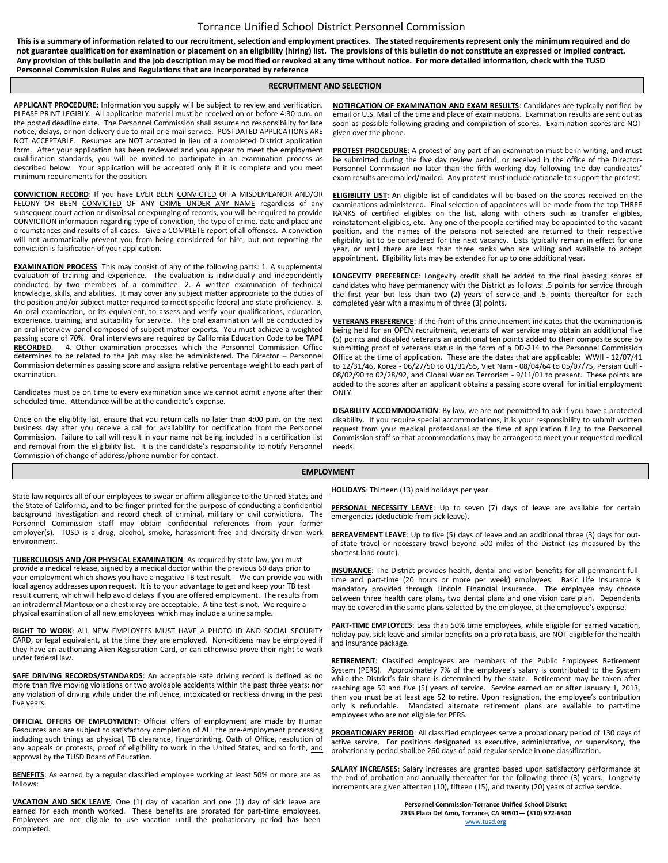#### Torrance Unified School District Personnel Commission

**This is a summary of information related to our recruitment, selection and employment practices. The stated requirements represent only the minimum required and do not guarantee qualification for examination or placement on an eligibility (hiring) list. The provisions of this bulletin do not constitute an expressed or implied contract. Any provision of this bulletin and the job description may be modified or revoked at any time without notice. For more detailed information, check with the TUSD Personnel Commission Rules and Regulations that are incorporated by reference**

#### **RECRUITMENT AND SELECTION**

**APPLICANT PROCEDURE**: Information you supply will be subject to review and verification. PLEASE PRINT LEGIBLY. All application material must be received on or before 4:30 p.m. on the posted deadline date. The Personnel Commission shall assume no responsibility for late notice, delays, or non-delivery due to mail or e-mail service. POSTDATED APPLICATIONS ARE NOT ACCEPTABLE. Resumes are NOT accepted in lieu of a completed District application form. After your application has been reviewed and you appear to meet the employment qualification standards, you will be invited to participate in an examination process as described below. Your application will be accepted only if it is complete and you meet minimum requirements for the position.

**CONVICTION RECORD**: If you have EVER BEEN CONVICTED OF A MISDEMEANOR AND/OR FELONY OR BEEN CONVICTED OF ANY CRIME UNDER ANY NAME regardless of any subsequent court action or dismissal or expunging of records, you will be required to provide CONVICTION information regarding type of conviction, the type of crime, date and place and circumstances and results of all cases. Give a COMPLETE report of all offenses. A conviction will not automatically prevent you from being considered for hire, but not reporting the conviction is falsification of your application.

**EXAMINATION PROCESS**: This may consist of any of the following parts: 1. A supplemental evaluation of training and experience. The evaluation is individually and independently conducted by two members of a committee. 2. A written examination of technical knowledge, skills, and abilities. It may cover any subject matter appropriate to the duties of the position and/or subject matter required to meet specific federal and state proficiency. 3. An oral examination, or its equivalent, to assess and verify your qualifications, education, experience, training, and suitability for service. The oral examination will be conducted by an oral interview panel composed of subject matter experts. You must achieve a weighted passing score of 70%. Oral interviews are required by California Education Code to be **TAPE**  4. Other examination processes which the Personnel Commission Office determines to be related to the job may also be administered. The Director – Personnel Commission determines passing score and assigns relative percentage weight to each part of examination.

Candidates must be on time to every examination since we cannot admit anyone after their scheduled time. Attendance will be at the candidate's expense.

Once on the eligiblity list, ensure that you return calls no later than 4:00 p.m. on the next business day after you receive a call for availability for certification from the Personnel Commission. Failure to call will result in your name not being included in a certification list and removal from the eligibility list. It is the candidate's responsibility to notify Personnel Commission of change of address/phone number for contact.

**NOTIFICATION OF EXAMINATION AND EXAM RESULTS**: Candidates are typically notified by email or U.S. Mail of the time and place of examinations. Examination results are sent out as soon as possible following grading and compilation of scores. Examination scores are NOT given over the phone.

**PROTEST PROCEDURE**: A protest of any part of an examination must be in writing, and must be submitted during the five day review period, or received in the office of the Director-Personnel Commission no later than the fifth working day following the day candidates' exam results are emailed/mailed. Any protest must include rationale to support the protest.

**ELIGIBILITY LIST**: An eligible list of candidates will be based on the scores received on the examinations administered. Final selection of appointees will be made from the top THREE RANKS of certified eligibles on the list, along with others such as transfer eligibles, reinstatement eligibles, etc. Any one of the people certified may be appointed to the vacant position, and the names of the persons not selected are returned to their respective eligibility list to be considered for the next vacancy. Lists typically remain in effect for one year, or until there are less than three ranks who are willing and available to accept appointment. Eligibility lists may be extended for up to one additional year.

**LONGEVITY PREFERENCE**: Longevity credit shall be added to the final passing scores of candidates who have permanency with the District as follows: .5 points for service through the first year but less than two (2) years of service and .5 points thereafter for each completed year with a maximum of three (3) points.

**VETERANS PREFERENCE**: If the front of this announcement indicates that the examination is being held for an **OPEN** recruitment, veterans of war service may obtain an additional five (5) points and disabled veterans an additional ten points added to their composite score by submitting proof of veterans status in the form of a DD-214 to the Personnel Commission Office at the time of application. These are the dates that are applicable: WWII - 12/07/41 to 12/31/46, Korea - 06/27/50 to 01/31/55, Viet Nam - 08/04/64 to 05/07/75, Persian Gulf - 08/02/90 to 02/28/92, and Global War on Terrorism - 9/11/01 to present. These points are added to the scores after an applicant obtains a passing score overall for initial employment ONLY.

**DISABILITY ACCOMMODATION**: By law, we are not permitted to ask if you have a protected disability. If you require special accommodations, it is your responsibility to submit written request from your medical professional at the time of application filing to the Personnel Commission staff so that accommodations may be arranged to meet your requested medical needs.

#### **EMPLOYMENT**

State law requires all of our employees to swear or affirm allegiance to the United States and the State of California, and to be finger-printed for the purpose of conducting a confidential background investigation and record check of criminal, military or civil convictions. The Personnel Commission staff may obtain confidential references from your former employer(s). TUSD is a drug, alcohol, smoke, harassment free and diversity-driven work environment.

**TUBERCULOSIS AND /OR PHYSICAL EXAMINATION**: As required by state law, you must provide a medical release, signed by a medical doctor within the previous 60 days prior to your employment which shows you have a negative TB test result. We can provide you with local agency addresses upon request. It is to your advantage to get and keep your TB test result current, which will help avoid delays if you are offered employment. The results from an intradermal Mantoux or a chest x-ray are acceptable. A tine test is not. We require a physical examination of all new employees which may include a urine sample.

**RIGHT TO WORK**: ALL NEW EMPLOYEES MUST HAVE A PHOTO ID AND SOCIAL SECURITY CARD, or legal equivalent, at the time they are employed. Non-citizens may be employed if they have an authorizing Alien Registration Card, or can otherwise prove their right to work under federal law.

**SAFE DRIVING RECORDS/STANDARDS:** An acceptable safe driving record is defined as no more than five moving violations or two avoidable accidents within the past three years; nor any violation of driving while under the influence, intoxicated or reckless driving in the past five years.

**OFFICIAL OFFERS OF EMPLOYMENT:** Official offers of employment are made by Human Resources and are subject to satisfactory completion of ALL the pre-employment processing including such things as physical, TB clearance, fingerprinting, Oath of Office, resolution of any appeals or protests, proof of eligibility to work in the United States, and so forth, and approval by the TUSD Board of Education.

**BENEFITS**: As earned by a regular classified employee working at least 50% or more are as follows:

**VACATION AND SICK LEAVE**: One (1) day of vacation and one (1) day of sick leave are earned for each month worked. These benefits are prorated for part-time employees. Employees are not eligible to use vacation until the probationary period has been completed.

**HOLIDAYS**: Thirteen (13) paid holidays per year.

**PERSONAL NECESSITY LEAVE**: Up to seven (7) days of leave are available for certain emergencies (deductible from sick leave).

BEREAVEMENT LEAVE: Up to five (5) days of leave and an additional three (3) days for outof-state travel or necessary travel beyond 500 miles of the District (as measured by the shortest land route).

**INSURANCE**: The District provides health, dental and vision benefits for all permanent fulltime and part-time (20 hours or more per week) employees. Basic Life Insurance is mandatory provided through Lincoln Financial Insurance. The employee may choose between three health care plans, two dental plans and one vision care plan. Dependents may be covered in the same plans selected by the employee, at the employee's expense.

**PART-TIME EMPLOYEES**: Less than 50% time employees, while eligible for earned vacation, holiday pay, sick leave and similar benefits on a pro rata basis, are NOT eligible for the health and insurance package.

RETIREMENT: Classified employees are members of the Public Employees Retirement System (PERS). Approximately 7% of the employee's salary is contributed to the System while the District's fair share is determined by the state. Retirement may be taken after reaching age 50 and five (5) years of service. Service earned on or after January 1, 2013, then you must be at least age 52 to retire. Upon resignation, the employee's contribution only is refundable. Mandated alternate retirement plans are available to part-time employees who are not eligible for PERS.

**PROBATIONARY PERIOD**: All classified employees serve a probationary period of 130 days of active service. For positions designated as executive, administrative, or supervisory, the probationary period shall be 260 days of paid regular service in one classification.

**SALARY INCREASES**: Salary increases are granted based upon satisfactory performance at the end of probation and annually thereafter for the following three (3) years. Longevity increments are given after ten (10), fifteen (15), and twenty (20) years of active service.

> **Personnel Commission-Torrance Unified School District 2335 Plaza Del Amo, Torrance, CA 90501— (310) 972-6340** [www.tusd.org](http://www.tusd.org/)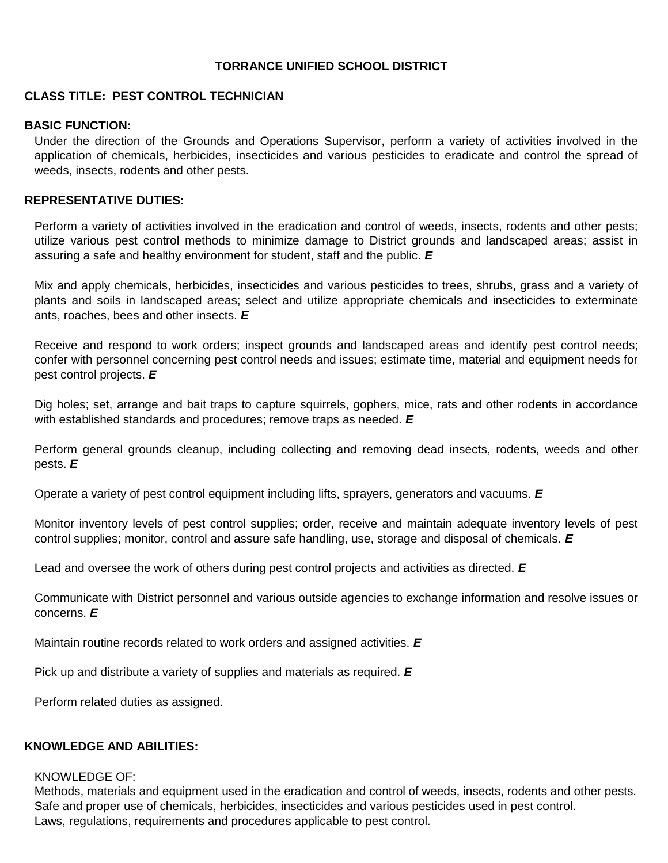#### **TORRANCE UNIFIED SCHOOL DISTRICT**

#### **CLASS TITLE: PEST CONTROL TECHNICIAN**

#### **BASIC FUNCTION:**

Under the direction of the Grounds and Operations Supervisor, perform a variety of activities involved in the application of chemicals, herbicides, insecticides and various pesticides to eradicate and control the spread of weeds, insects, rodents and other pests.

#### **REPRESENTATIVE DUTIES:**

Perform a variety of activities involved in the eradication and control of weeds, insects, rodents and other pests; utilize various pest control methods to minimize damage to District grounds and landscaped areas; assist in assuring a safe and healthy environment for student, staff and the public. *E*

Mix and apply chemicals, herbicides, insecticides and various pesticides to trees, shrubs, grass and a variety of plants and soils in landscaped areas; select and utilize appropriate chemicals and insecticides to exterminate ants, roaches, bees and other insects. *E*

Receive and respond to work orders; inspect grounds and landscaped areas and identify pest control needs; confer with personnel concerning pest control needs and issues; estimate time, material and equipment needs for pest control projects. *E*

Dig holes; set, arrange and bait traps to capture squirrels, gophers, mice, rats and other rodents in accordance with established standards and procedures; remove traps as needed. *E*

Perform general grounds cleanup, including collecting and removing dead insects, rodents, weeds and other pests. *E*

Operate a variety of pest control equipment including lifts, sprayers, generators and vacuums. *E*

Monitor inventory levels of pest control supplies; order, receive and maintain adequate inventory levels of pest control supplies; monitor, control and assure safe handling, use, storage and disposal of chemicals. *E*

Lead and oversee the work of others during pest control projects and activities as directed. *E*

Communicate with District personnel and various outside agencies to exchange information and resolve issues or concerns. *E*

Maintain routine records related to work orders and assigned activities. *E*

Pick up and distribute a variety of supplies and materials as required. *E*

Perform related duties as assigned.

#### **KNOWLEDGE AND ABILITIES:**

#### KNOWLEDGE OF:

Methods, materials and equipment used in the eradication and control of weeds, insects, rodents and other pests. Safe and proper use of chemicals, herbicides, insecticides and various pesticides used in pest control. Laws, regulations, requirements and procedures applicable to pest control.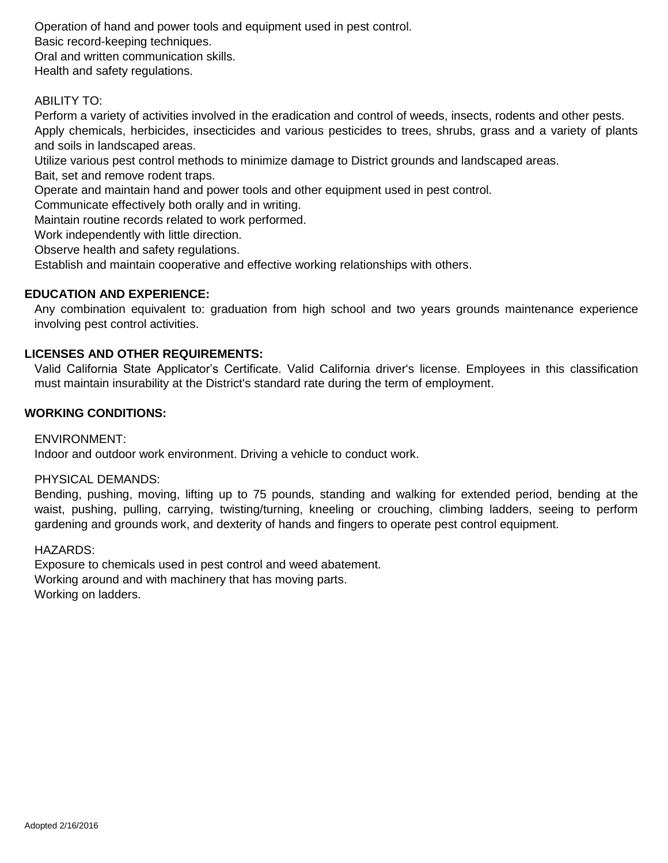Operation of hand and power tools and equipment used in pest control. Basic record-keeping techniques. Oral and written communication skills. Health and safety regulations.

#### ABILITY TO:

Perform a variety of activities involved in the eradication and control of weeds, insects, rodents and other pests. Apply chemicals, herbicides, insecticides and various pesticides to trees, shrubs, grass and a variety of plants and soils in landscaped areas.

Utilize various pest control methods to minimize damage to District grounds and landscaped areas.

Bait, set and remove rodent traps.

Operate and maintain hand and power tools and other equipment used in pest control.

Communicate effectively both orally and in writing.

Maintain routine records related to work performed.

Work independently with little direction.

Observe health and safety regulations.

Establish and maintain cooperative and effective working relationships with others.

#### **EDUCATION AND EXPERIENCE:**

Any combination equivalent to: graduation from high school and two years grounds maintenance experience involving pest control activities.

#### **LICENSES AND OTHER REQUIREMENTS:**

Valid California State Applicator's Certificate. Valid California driver's license. Employees in this classification must maintain insurability at the District's standard rate during the term of employment.

#### **WORKING CONDITIONS:**

#### ENVIRONMENT:

Indoor and outdoor work environment. Driving a vehicle to conduct work.

#### PHYSICAL DEMANDS:

Bending, pushing, moving, lifting up to 75 pounds, standing and walking for extended period, bending at the waist, pushing, pulling, carrying, twisting/turning, kneeling or crouching, climbing ladders, seeing to perform gardening and grounds work, and dexterity of hands and fingers to operate pest control equipment.

#### HAZARDS:

Exposure to chemicals used in pest control and weed abatement. Working around and with machinery that has moving parts. Working on ladders.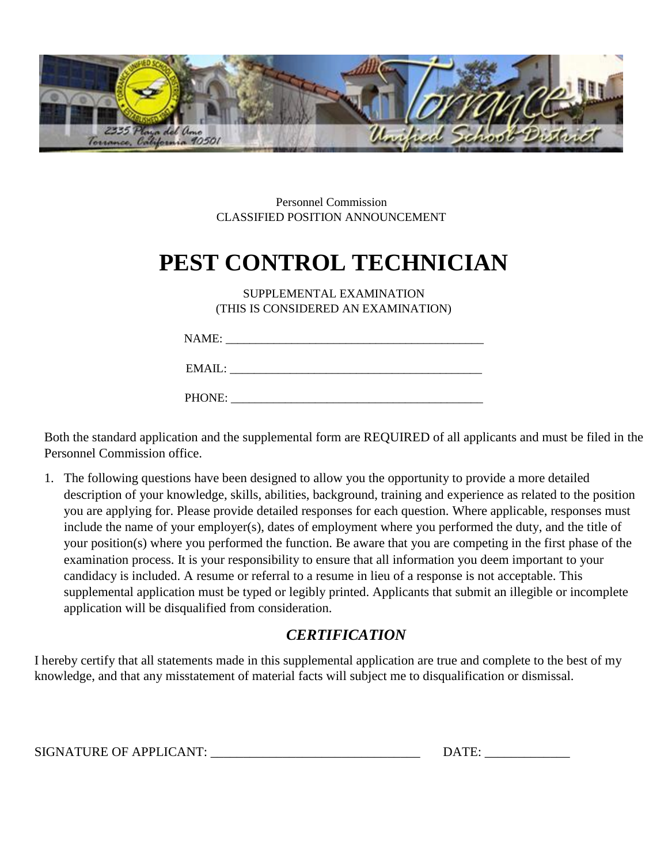

Personnel Commission CLASSIFIED POSITION ANNOUNCEMENT

# **PEST CONTROL TECHNICIAN**

SUPPLEMENTAL EXAMINATION (THIS IS CONSIDERED AN EXAMINATION)

| NAME |
|------|
|------|

| <b>EMAP</b><br>$\sim$ $\sim$ $\sim$<br>. |
|------------------------------------------|
|------------------------------------------|

PHONE:

Both the standard application and the supplemental form are REQUIRED of all applicants and must be filed in the Personnel Commission office.

1. The following questions have been designed to allow you the opportunity to provide a more detailed description of your knowledge, skills, abilities, background, training and experience as related to the position you are applying for. Please provide detailed responses for each question. Where applicable, responses must include the name of your employer(s), dates of employment where you performed the duty, and the title of your position(s) where you performed the function. Be aware that you are competing in the first phase of the examination process. It is your responsibility to ensure that all information you deem important to your candidacy is included. A resume or referral to a resume in lieu of a response is not acceptable. This supplemental application must be typed or legibly printed. Applicants that submit an illegible or incomplete application will be disqualified from consideration.

## *CERTIFICATION*

I hereby certify that all statements made in this supplemental application are true and complete to the best of my knowledge, and that any misstatement of material facts will subject me to disqualification or dismissal.

SIGNATURE OF APPLICANT: \_\_\_\_\_\_\_\_\_\_\_\_\_\_\_\_\_\_\_\_\_\_\_\_\_\_\_\_\_\_\_\_ DATE: \_\_\_\_\_\_\_\_\_\_\_\_\_